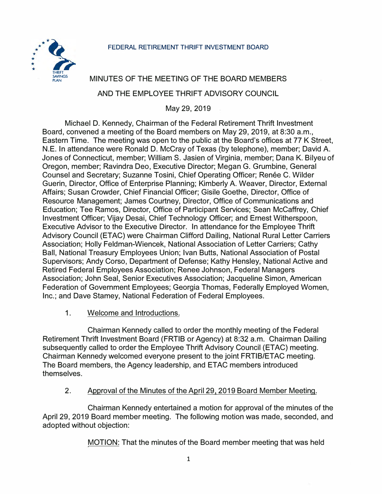

# MINUTES OF THE MEETING OF THE BOARD MEMBERS

### AND THE EMPLOYEE THRIFT ADVISORY COUNCIL

May 29, 2019

Michael D. Kennedy, Chairman of the Federal Retirement Thrift Investment Board, convened a meeting of the Board members on May 29, 2019, at 8:30 a.m., Eastern Time. The meeting was open to the public at the Board's offices at 77 K Street, N.E. In attendance were Ronald D. McCray of Texas (by telephone), member; David A. Jones of Connecticut, member; William S. Jasien of Virginia, member; Dana K. Bilyeu of Oregon, member; Ravindra Deo, Executive Director; Megan G. Grumbine, General Counsel and Secretary; Suzanne Tosini, Chief Operating Officer; Renée C. Wilder Guerin, Director, Office of Enterprise Planning; Kimberly A. Weaver, Director, External Affairs; Susan Crowder, Chief Financial Officer; Gisile Goethe, Director, Office of Resource Management; James Courtney, Director, Office of Communications and Education; Tee Ramos, Director, Office of Participant Services; Sean McCaffrey, Chief Investment Officer; Vijay Desai, Chief Technology Officer; and Ernest Witherspoon, Executive Advisor to the Executive Director. In attendance for the Employee Thrift Advisory Council (ETAC) were Chairman Clifford Dailing, National Rural Letter Carriers Association; Holly Feldman-Wiencek, National Association of Letter Carriers; Cathy Ball, National Treasury Employees Union; Ivan Butts, National Association of Postal Supervisors; Andy Corso, Department of Defense; Kathy Hensley, National Active and Retired Federal Employees Association; Renee Johnson, Federal Managers Association; John Seal, Senior Executives Association; Jacqueline Simon, American Federation of Government Employees; Georgia Thomas, Federally Employed Women, Inc.; and Dave Stamey, National Federation of Federal Employees.

1. Welcome and Introductions.

Chairman Kennedy called to order the monthly meeting of the Federal Retirement Thrift Investment Board (FRTIB or Agency) at 8:32 a.m. Chairman Dailing subsequently called to order the Employee Thrift Advisory Council (ETAC) meeting. Chairman Kennedy welcomed everyone present to the joint FRTIB/ETAC meeting. The Board members, the Agency leadership, and ETAC members introduced themselves.

### 2. Approval of the Minutes of the April 29. 2019 Board Member Meeting.

Chairman Kennedy entertained a motion for approval of the minutes of the April 29, 2019 Board member meeting. The following motion was made, seconded, and adopted without objection:

MOTION: That the minutes of the Board member meeting that was held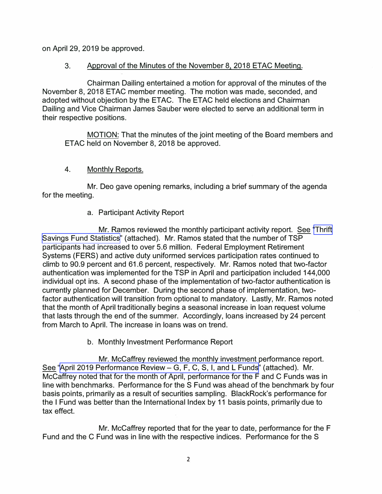on April 29, 2019 be approved.

### 3. Approval of the Minutes of the November 8, 2018 ETAC Meeting.

Chairman Dailing entertained a motion for approval of the minutes of the November 8, 2018 ETAC member meeting. The motion was made, seconded, and adopted without objection by the ETAC. The ETAC held elections and Chairman Dailing and Vice Chairman James Sauber were elected to serve an additional term in their respective positions.

MOTION: That the minutes of the joint meeting of the Board members and ETAC held on November 8, 2018 be approved.

## 4. Monthly Reports.

Mr. Deo gave opening remarks, including a brief summary of the agenda for the meeting.

## a. Participant Activity Report

Mr. Ramos reviewed the monthly participant activity report. See '[Thrift](https://www.frtib.gov/pdf/minutes/2019/May/MM-2019May-Att1.pdf)  [Savings Fund Statistics](https://www.frtib.gov/pdf/minutes/2019/May/MM-2019May-Att1.pdf)" (attached). Mr. Ramos stated that the number of TSP participants had increased to over 5.6 million. Federal Employment Retirement Systems (FERS) and active duty uniformed services participation rates continued to climb to 90.9 percent and 61.6 percent, respectively. Mr. Ramos noted that two-factor authentication was implemented for the TSP in April and participation included 144,000 individual opt ins. A second phase of the implementation of two-factor authentication is currently planned for December. During the second phase of implementation, twofactor authentication will transition from optional to mandatory. Lastly, Mr. Ramos noted that the month of April traditionally begins a seasonal increase in loan request volume that lasts through the end of the summer. Accordingly, loans increased by 24 percent from March to April. The increase in loans was on trend.

b. Monthly Investment Performance Report

Mr. McCaffrey reviewed the monthly investment performance report. See ["April 2019 Performance Review- G, F, C, S, I, and L Funds"](https://www.frtib.gov/pdf/minutes/2019/May/MM-2019May-Att2.pdf) (attached). Mr. McCaffrey noted that for the month of April, performance for the F and C Funds was in line with benchmarks. Performance for the S Fund was ahead of the benchmark by four basis points, primarily as a result of securities sampling. BlackRock's performance for the I Fund was better than the International Index by 11 basis points, primarily due to tax effect.

Mr. McCaffrey reported that for the year to date, performance for the F Fund and the C Fund was in line with the respective indices. Performance for the S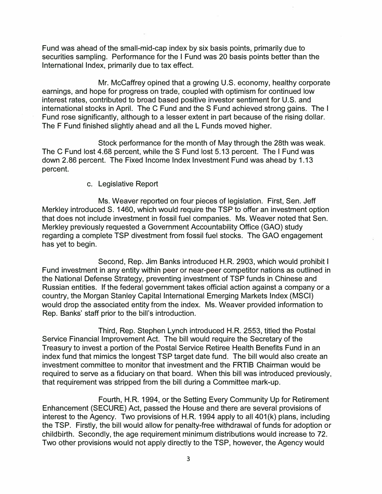Fund was ahead of the small-mid-cap index by six basis points, primarily due to securities sampling. Performance for the I Fund was 20 basis points better than the International Index, primarily due to tax effect.

Mr. Mccaffrey opined that a growing U.S. economy, healthy corporate earnings, and hope for progress on trade, coupled with optimism for continued low interest rates, contributed to broad based positive investor sentiment for U.S. and international stocks in April. The C Fund and the S Fund achieved strong gains. The I Fund rose significantly, although to a lesser extent in part because of the rising dollar. The F Fund finished slightly ahead and all the L Funds moved higher.

Stock performance for the month of May through the 28th was weak. The C Fund lost 4.68 percent, while the S Fund lost 5.13 percent. The I Fund was down 2.86 percent. The Fixed Income Index Investment Fund was ahead by 1.13 percent.

#### c. Legislative Report

Ms. Weaver reported on four pieces of legislation. First, Sen. Jeff Merkley introduced S. 1460, which would require the TSP to offer an investment option that does not include investment in fossil fuel companies. Ms. Weaver noted that Sen. Merkley previously requested a Government Accountability Office (GAO) study regarding a complete TSP divestment from fossil fuel stocks. The GAO engagement has yet to begin.

Second, Rep. Jim Banks introduced H.R. 2903, which would prohibit I Fund investment in any entity within peer or near-peer competitor nations as outlined in the National Defense Strategy, preventing investment of TSP funds in Chinese and Russian entities. If the federal government takes official action against a company or a country, the Morgan Stanley Capital International Emerging Markets Index (MSCI) would drop the associated entity from the index. Ms. Weaver provided information to Rep. Banks' staff prior to the bill's introduction.

Third, Rep. Stephen Lynch introduced H.R. 2553, titled the Postal Service Financial Improvement Act. The bill would require the Secretary of the Treasury to invest a portion of the Postal Service Retiree Health Benefits Fund in an index fund that mimics the longest TSP target date fund. The bill would also create an investment committee to monitor that investment and the FRTIB Chairman would be required to serve as a fiduciary on that board. When this bill was introduced previously, that requirement was stripped from the bill during a Committee mark-up.

Fourth, H.R. 1994, or the Setting Every Community Up for Retirement Enhancement (SECURE) Act, passed the House and there are several provisions of interest to the Agency. Two provisions of H.R. 1994 apply to all 401(k) plans, including the TSP. Firstly, the bill would allow for penalty-free withdrawal of funds for adoption or childbirth. Secondly, the age requirement minimum distributions would increase to 72. Two other provisions would not apply directly to the TSP, however, the Agency would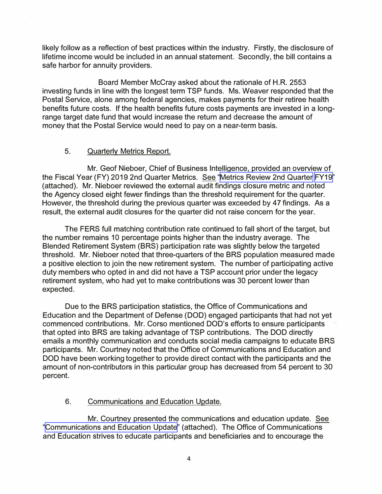likely follow as a reflection of best practices within the industry. Firstly, the disclosure of lifetime income would be included in an annual statement. Secondly, the bill contains a safe harbor for annuity providers.

Board Member McCray asked about the rationale of H.R. 2553 investing funds in line with the longest term TSP funds. Ms. Weaver responded that the Postal Service, alone among federal agencies, makes payments for their retiree health benefits future costs. If the health benefits future costs payments are invested in a longrange target date fund that would increase the return and decrease the amount of money that the Postal Service would need to pay on a near-term basis.

#### 5. Quarterly Metrics Report.

Mr. Geof Nieboer, Chief of Business Intelligence, provided an overview of the Fiscal Year (FY) 2019 2nd Quarter Metrics. See "[Metrics Review 2nd Quarter FY19](https://www.frtib.gov/pdf/minutes/2019/May/MM-2019May-Att3.pdf)" (attached). Mr. Nieboer reviewed the external audit findings closure metric and noted the Agency closed eight fewer findings than the threshold requirement for the quarter. However, the threshold during the previous quarter was exceeded by 47 findings. As a result, the external audit closures for the quarter did not raise concern for the year.

The FERS full matching contribution rate continued to fall short of the target, but the number remains 10 percentage points higher than the industry average. The Blended Retirement System (BRS) participation rate was slightly below the targeted threshold. Mr. Nieboer noted that three-quarters of the BRS population measured made a positive election to join the new retirement system. The number of participating active duty members who opted in and did not have a TSP account prior under the legacy retirement system, who had yet to make contributions was 30 percent lower than expected.

Due to the BRS participation statistics, the Office of Communications and Education and the Department of Defense (DOD) engaged participants that had not yet commenced contributions. Mr. Corso mentioned DOD's efforts to ensure participants that opted into BRS are taking advantage of TSP contributions. The DOD directly emails a monthly communication and conducts social media campaigns to educate BRS participants. Mr. Courtney noted that the Office of Communications and Education and DOD have been working together to provide direct contact with the participants and the amount of non-contributors in this particular group has decreased from 54 percent to 30 percent.

### 6. Communications and Education Update.

Mr. Courtney presented the communications and education update. See ["Communications and Education Update](https://www.frtib.gov/pdf/minutes/2019/May/MM-2019May-Att4.pdf)" (attached). The Office of Communications and Education strives to educate participants and beneficiaries and to encourage the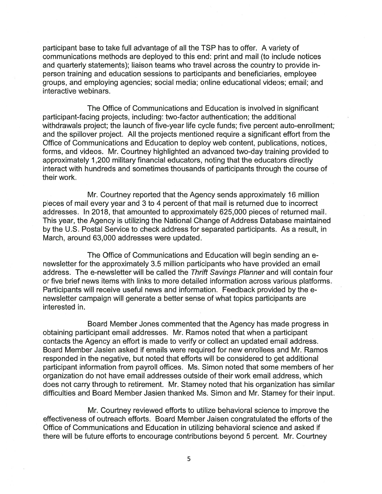participant base to take full advantage of all the TSP has to offer. A variety of communications methods are deployed to this end: print and mail (to include notices and quarterly statements); liaison teams who travel across the country to provide inperson training and education sessions to participants and beneficiaries, employee groups, and employing agencies; social media; online educational videos; email; and interactive webinars.

The Office of Communications and Education is involved in significant participant-facing projects, including: two-factor authentication; the additional withdrawals project; the launch of five-year life cycle funds; five percent auto-enrollment; and the spillover project. All the projects mentioned require a significant effort from the Office of Communications and Education to deploy web content, publications, notices, forms, and videos. Mr. Courtney highlighted an advanced two-day training provided to approximately 1,200 military financial educators, noting that the educators directly interact with hundreds and sometimes thousands of participants through the course of their work.

Mr. Courtney reported that the Agency sends approximately 16 million pieces of mail every year and 3 to 4 percent of that mail is returned due to incorrect addresses. In 2018, that amounted to approximately 625,000 pieces of returned mail. This year, the Agency is utilizing the National Change of Address Database maintained by the U.S. Postal Service to check address for separated participants. As a result, in March, around 63,000 addresses were updated.

The Office of Communications and Education will begin sending an enewsletter for the approximately 3.5 million participants who have provided an email address. The e-newsletter will be called the Thrift Savings Planner and will contain four or five brief news items with links to more detailed information across various platforms. Participants will receive useful news and information. Feedback provided by the enewsletter campaign will generate a better sense of what topics participants are interested in.

Board Member Jones commented that the Agency has made progress in obtaining participant email addresses. Mr. Ramos noted that when a participant contacts the Agency an effort is made to verify or collect an updated email address. Board Member Jasien asked if emails were required for new enrollees and Mr. Ramos responded in the negative, but noted that efforts will be considered to get additional participant information from payroll offices. Ms. Simon noted that some members of her organization do not have email addresses outside of their work email address, which does not carry through to retirement. Mr. Stamey noted that his organization has similar difficulties and Board Member Jasien thanked Ms. Simon and Mr. Stamey for their input.

Mr. Courtney reviewed efforts to utilize behavioral science to improve the effectiveness of outreach efforts. Board Member Jaisen congratulated the efforts of the Office of Communications and Education in utilizing behavioral science and asked if there will be future efforts to encourage contributions beyond 5 percent. Mr. Courtney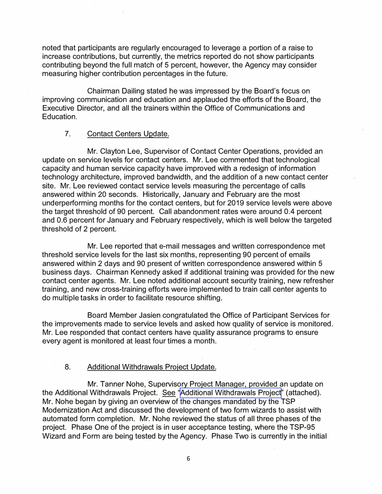noted that participants are regularly encouraged to leverage a portion of a raise to increase contributions, but currently, the metrics reported do not show participants contributing beyond the full match of 5 percent, however, the Agency may consider measuring higher contribution percentages in the future.

Chairman Dailing stated he was impressed by the Board's focus on improving communication and education and applauded the efforts of the Board, the Executive Director, and all the trainers within the Office of Communications and Education.

#### 7. Contact Centers Update.

Mr. Clayton Lee, Supervisor of Contact Center Operations, provided an update on service levels for contact centers. Mr. Lee commented that technological capacity and human service capacity have improved with a redesign of information technology architecture, improved bandwidth, and the addition of a new contact center site. Mr. Lee reviewed contact service levels measuring the percentage of calls answered within 20 seconds. Historically, January and February are the most underperforming months for the contact centers, but for 2019 service levels were above the target threshold of 90 percent. Call abandonment rates were around 0.4 percent and 0.6 percent for January and February respectively, which is well below the targeted threshold of 2 percent.

Mr. Lee reported that e-mail messages and written correspondence met threshold service levels for the last six months, representing 90 percent of emails answered within 2 days and 90 present of written correspondence answered within 5 business days. Chairman Kennedy asked if additional training was provided for the new contact center agents. Mr. Lee noted additional account security training, new refresher training, and new cross-training efforts were implemented to train call center agents to do multiple tasks in order to facilitate resource shifting.

Board Member Jasien congratulated the Office of Participant Services for the improvements made to service levels and asked how quality of service is monitored. Mr. Lee responded that contact centers have quality assurance programs to ensure every agent is monitored at least four times a month.

#### 8. Additional Withdrawals Project Update.

Mr. Tanner Nohe, Supervisory Project Manager, provided an update on the Additional Withdrawals Project. See "[Additional Withdrawals Project"](https://www.frtib.gov/pdf/minutes/2019/May/MM-2019May-Att6.pdf) (attached). Mr. Nohe began by giving an overview of the changes mandated by the TSP Modernization Act and discussed the development of two form wizards to assist with automated form completion. Mr. Nohe reviewed the status of all three phases of the project. Phase One of the project is in user acceptance testing, where the TSP-95 Wizard and Form are being tested by the Agency. Phase Two is currently in the initial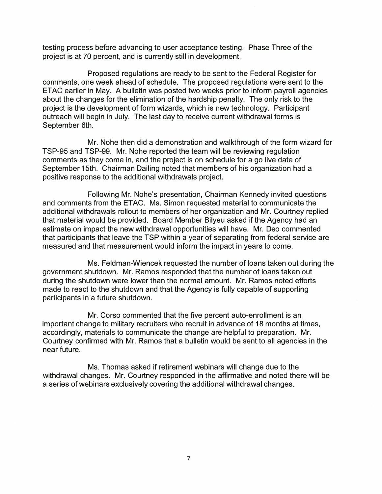testing process before advancing to user acceptance testing. Phase Three of the project is at 70 percent, and is currently still in development.

Proposed regulations are ready to be sent to the Federal Register for comments, one week ahead of schedule. The proposed regulations were sent to the ETAC earlier in May. A bulletin was posted two weeks prior to inform payroll agencies about the changes for the elimination of the hardship penalty. The only risk to the project is the development of form wizards, which is new technology. Participant outreach will begin in July. The last day to receive current withdrawal forms is September 6th.

Mr. Nohe then did a demonstration and walkthrough of the form wizard for TSP-95 and TSP-99. Mr. Nohe reported the team will be reviewing regulation comments as they come in, and the project is on schedule for a go live date of September 15th. Chairman Dailing noted that members of his organization had a positive response to the additional withdrawals project.

Following Mr. Nohe's presentation, Chairman Kennedy invited questions and comments from the ETAC. Ms. Simon requested material to communicate the additional withdrawals rollout to members of her organization and Mr. Courtney replied that material would be provided. Board Member Bilyeu asked if the Agency had an estimate on impact the new withdrawal opportunities will have. Mr. Dea commented that participants that leave the TSP within a year of separating from federal service are measured and that measurement would inform the impact in years to come.

Ms. Feldman-Wiencek requested the number of loans taken out during the government shutdown. Mr. Ramos responded that the number of loans taken out during the shutdown were lower than the normal amount. Mr. Ramos noted efforts made to react to the shutdown and that the Agency is fully capable of supporting participants in a future shutdown.

Mr. Corso commented that the five percent auto-enrollment is an important change to military recruiters who recruit in advance of 18 months at times, accordingly, materials to communicate the change are helpful to preparation. Mr. Courtney confirmed with Mr. Ramos that a bulletin would be sent to all agencies in the near future.

Ms. Thomas asked if retirement webinars will change due to the withdrawal changes. Mr. Courtney responded in the affirmative and noted there will be a series of webinars exclusively covering the additional withdrawal changes.